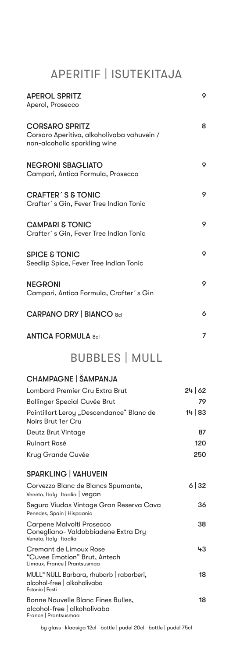## APERITIF | ISUTEKITAJA

| <b>APEROL SPRITZ</b><br>Aperol, Prosecco                                                            | 9       |
|-----------------------------------------------------------------------------------------------------|---------|
| <b>CORSARO SPRITZ</b><br>Corsaro Aperitivo, alkoholivaba vahuvein /<br>non-alcoholic sparkling wine | 8       |
| <b>NEGRONI SBAGLIATO</b><br>Campari, Antica Formula, Prosecco                                       | 9       |
| <b>CRAFTER'S &amp; TONIC</b><br>Crafter's Gin, Fever Tree Indian Tonic                              | 9       |
| <b>CAMPARI &amp; TONIC</b><br>Crafter's Gin, Fever Tree Indian Tonic                                | 9       |
| <b>SPICE &amp; TONIC</b><br>Seedlip Spice, Fever Tree Indian Tonic                                  | 9       |
| <b>NEGRONI</b><br>Campari, Antica Formula, Crafter´s Gin                                            | 9       |
| <b>CARPANO DRY   BIANCO 8cl</b>                                                                     | 6       |
| <b>ANTICA FORMULA 8cl</b>                                                                           | 7       |
| <b>BUBBLES   MULL</b>                                                                               |         |
| CHAMPAGNE   ŠAMPANJA                                                                                |         |
| Lombard Premier Cru Extra Brut                                                                      | 24   62 |
| Bollinger Special Cuvée Brut                                                                        | 79      |
| Pointillart Leroy "Descendance" Blanc de<br>Noirs Brut 1er Cru                                      | 14   83 |
| Deutz Brut Vintage                                                                                  | 87      |
| Ruinart Rosé                                                                                        | 120     |
| Krug Grande Cuvée                                                                                   | 250     |
| <b>SPARKLING   VAHUVEIN</b>                                                                         |         |
| Corvezzo Blanc de Blancs Spumante,<br>Veneto, Italy   Itaalia   vegan                               | 6 32    |
| Segura Viudas Vintage Gran Reserva Cava<br>Penedes, Spain   Hispaania                               | 36      |
| Carpene Malvolti Prosecco<br>Conegliano-Valdobbiadene Extra Dry<br>Veneto, Italy   Itaalia          | 38      |
| Cremant de Limoux Rose<br>"Cuvee Emotion" Brut, Antech<br>Limoux, France   Prantsusmaa              | 43      |
| MULL° NULL Barbara, rhubarb   rabarberi,<br>alcohol-free   alkoholivaba<br>Estonia   Eesti          | 18      |
| Bonne Nouvelle Blanc Fines Bulles,<br>alcohol-free   alkoholivaba<br>France   Prantsusmaa           | 18      |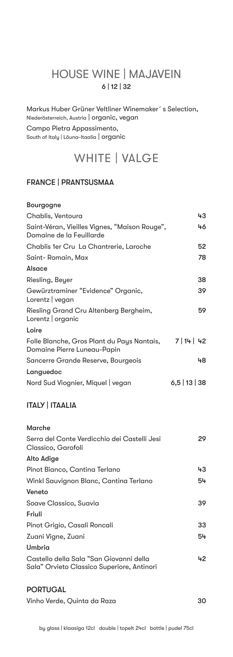#### HOUSE WINE | MAJAVEIN 6 | 12 | 32

Markus Huber Grüner Veltliner Winemaker´s Selection, Niederösterreich, Austria | organic, vegan

Campo Pietra Appassimento, South of Italy | Lõuna-Itaalia | organic

### WHITE | VALGE

#### FRANCE | PRANTSUSMAA

| Bourgogne                                                                             |                 |
|---------------------------------------------------------------------------------------|-----------------|
| Chablis, Ventoura                                                                     | 43              |
| Saint-Véran, Vieilles Vignes, "Maison Rouge",<br>Domaine de la Feuillarde             | 46              |
| Chablis 1er Cru La Chantrerie, Laroche                                                | 52              |
| Saint- Romain, Max                                                                    | 78              |
| Alsace                                                                                |                 |
| Riesling, Beyer                                                                       | 38              |
| Gewürztraminer "Evidence" Organic,<br>Lorentz vegan                                   | 39              |
| Riesling Grand Cru Altenberg Bergheim,<br>Lorentz   organic                           | 59              |
| Loire                                                                                 |                 |
| Folle Blanche, Gros Plant du Pays Nantais, 7   14   42<br>Domaine Pierre Luneau-Papin |                 |
| Sancerre Grande Reserve, Bourgeois                                                    | 48              |
| Languedoc                                                                             |                 |
| Nord Sud Viognier, Miquel   vegan                                                     | $6,5$   13   38 |

#### ITALY | ITAALIA

| Marche                                                                                      |  |
|---------------------------------------------------------------------------------------------|--|
| Serra del Conte Verdicchio dei Castelli Jesi<br>29<br>Classico, Garofoli                    |  |
| Alto Adige                                                                                  |  |
| Pinot Bianco, Cantina Terlano<br>43                                                         |  |
| 54<br>Winkl Sauvignon Blanc, Cantina Terlano                                                |  |
| Veneto                                                                                      |  |
| Soave Classico, Suavia<br>39                                                                |  |
| Friuli                                                                                      |  |
| Pinot Grigio, Casali Roncali<br>33                                                          |  |
| 54<br>Zuani Vigne, Zuani                                                                    |  |
| Umbria                                                                                      |  |
| Castello della Sala "San Giovanni della<br>42<br>Sala" Orvieto Classico Superiore, Antinori |  |

#### **PORTUGAL**

Vinho Verde, Quinta da Raza 30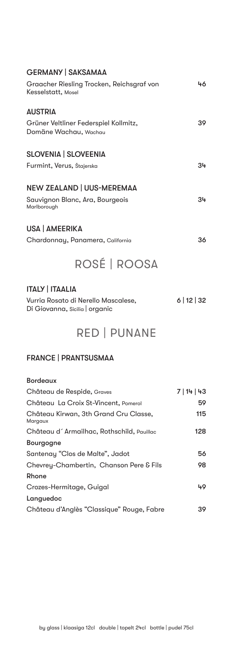| <b>GERMANY   SAKSAMAA</b>                                             |         |
|-----------------------------------------------------------------------|---------|
| Graacher Riesling Trocken, Reichsgraf von<br>Kesselstatt, Mosel       | 46      |
| <b>AUSTRIA</b>                                                        |         |
| Grüner Veltliner Federspiel Kollmitz,<br>Domäne Wachau, Wachau        | 39      |
| <b>SLOVENIA   SLOVEENIA</b>                                           |         |
| Furmint, Verus, Štajerska                                             | 34      |
| <b>NEW ZEALAND   UUS-MEREMAA</b><br>Sauvignon Blanc, Ara, Bourgeois   | 34      |
| Marlborough                                                           |         |
| USA   AMEERIKA                                                        |         |
| Chardonnay, Panamera, California                                      | 36      |
| ROSÉ   ROOSA                                                          |         |
| <b>ITALY   ITAALIA</b>                                                |         |
| Vurria Rosato di Nerello Mascalese,<br>Di Giovanna, Sicilia   organic | 6 12 32 |

### RED | PUNANE

#### FRANCE | PRANTSUSMAA

| <b>Bordeaux</b>                                  |         |
|--------------------------------------------------|---------|
| Château de Respide, Graves                       | 7 14 43 |
| Château La Croix St-Vincent, Pomerol             | 59      |
| Château Kirwan, 3th Grand Cru Classe,<br>Margaux | 115     |
| Château d'Armailhac, Rothschild, Pauillac        | 128     |
| <b>Bourgogne</b>                                 |         |
| Santenay "Clos de Malte", Jadot                  | 56      |
| Chevrey-Chambertin, Chanson Pere & Fils          | 98      |
| Rhone                                            |         |
| Crozes-Hermitage, Guigal                         | 49      |
| Languedoc                                        |         |
| Château d'Anglès "Classique" Rouge, Fabre        | 39      |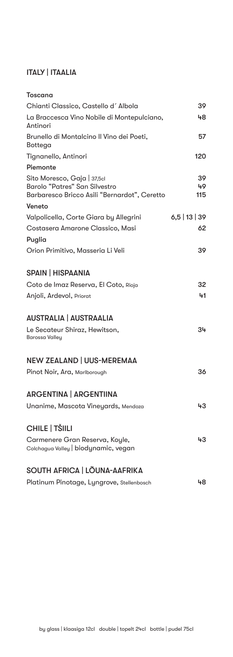#### ITALY | ITAALIA

| Toscana                                                                                                      |                 |
|--------------------------------------------------------------------------------------------------------------|-----------------|
| Chianti Classico, Castello d'Albola                                                                          | 39              |
| La Braccesca Vino Nobile di Montepulciano,<br>Antinori                                                       | 48              |
| Brunello di Montalcino Il Vino dei Poeti,<br>Bottega                                                         | 57              |
| Tignanello, Antinori                                                                                         | 120             |
| Piemonte                                                                                                     |                 |
| Sito Moresco, Gaja   37,5cl<br>Barolo "Patres" San Silvestro<br>Barbaresco Bricco Asili "Bernardot", Ceretto | 39<br>49<br>115 |
| Veneto                                                                                                       |                 |
| Valpolicella, Corte Giara by Allegrini                                                                       | $6,5$   13   39 |
| Costasera Amarone Classico, Masi                                                                             | 62              |
| Puglia                                                                                                       |                 |
| Orion Primitivo, Masseria Li Veli                                                                            | 39              |
| SPAIN   HISPAANIA                                                                                            |                 |
| Coto de Imaz Reserva, El Coto, Rioja                                                                         | 32              |
| Anjoli, Ardevol, Priorat                                                                                     | 41              |
| <b>AUSTRALIA   AUSTRAALIA</b>                                                                                |                 |
| Le Secateur Shiraz, Hewitson,<br><b>Barossa Valley</b>                                                       | 34              |
| <b>NEW ZEALAND   UUS-MEREMAA</b>                                                                             |                 |
| Pinot Noir, Ara, Marlborough                                                                                 | 36              |
| <b>ARGENTINA   ARGENTIINA</b>                                                                                |                 |
| Unanime, Mascota Vineyards, Mendoza                                                                          | 43              |
| CHILE   TŠIILI                                                                                               |                 |
| Carmenere Gran Reserva, Koyle,<br>Colchagua Valley   biodynamic, vegan                                       | 43              |
| SOUTH AFRICA   LÕUNA-AAFRIKA                                                                                 |                 |
| Platinum Pinotage, Lyngrove, Stellenbosch                                                                    | 48              |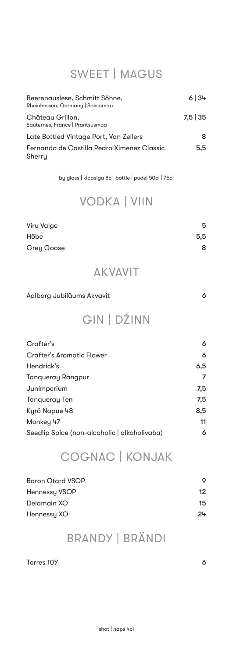## SWEET | MAGUS

| Beerenauslese, Schmitt Söhne,<br>Rheinhessen, Germany   Saksamaa | 6134       |
|------------------------------------------------------------------|------------|
| Château Grillon,<br>Sauternes, France   Prantsusmaa              | $7.5$   35 |
| Late Bottled Vintage Port, Van Zellers                           | 8          |
| Fernando de Castilla Pedro Ximenez Classic<br>Sherry             | 5.5        |

by glass | klaasiga 8cl bottle | pudel 50cl | 75cl

### VODKA | VIIN

| Viru Valge | 5   |
|------------|-----|
| Hõbe       | 5,5 |
| Grey Goose | 8   |

AKVAVIT

| Aalborg Jubiläums Akvavit |  |
|---------------------------|--|
|                           |  |

### GIN | DŹINN

| Crafter's                                    | 6   |
|----------------------------------------------|-----|
| <b>Crafter's Aromatic Flower</b>             | 6   |
| Hendrick's                                   | 6.5 |
| Tangueray Rangpur                            | 7   |
| Junimperium                                  | 7.5 |
| <b>Tangueray Ten</b>                         | 7.5 |
| Kyrö Napue 48                                | 8,5 |
| Monkey 47                                    | 11  |
| Seedlip Spice (non-alcoholic   alkoholivaba) | 6   |

#### COGNAC | KONJAK

| <b>Baron Otard VSOP</b> | o  |
|-------------------------|----|
| Hennessy VSOP           | 12 |
| Delamain XO             | 15 |
| Hennessy XO             | 24 |

# BRANDY | BRÄNDI

Torres 10Y 6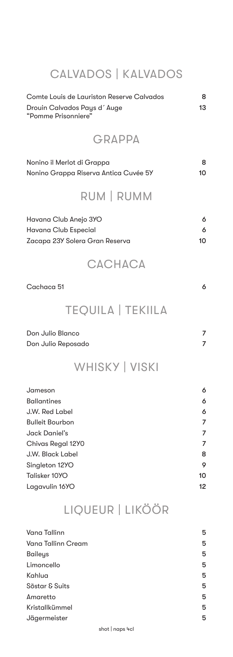# CALVADOS | KALVADOS

| Comte Louis de Lauriston Reserve Calvados<br>Drouin Calvados Pays d'Auge<br>"Pomme Prisonniere"                                                       | 8<br>13                              |
|-------------------------------------------------------------------------------------------------------------------------------------------------------|--------------------------------------|
| <b>GRAPPA</b>                                                                                                                                         |                                      |
| Nonino il Merlot di Grappa<br>Nonino Grappa Riserva Antica Cuvée 5Y                                                                                   | 8<br>10                              |
| RUM   RUMM                                                                                                                                            |                                      |
| Havana Club Anejo 3YO<br>Havana Club Especial<br>Zacapa 23Y Solera Gran Reserva                                                                       | 6<br>6<br>10                         |
| <b>CACHACA</b>                                                                                                                                        |                                      |
| Cachaca 51                                                                                                                                            | 6                                    |
| <b>TEQUILA   TEKIILA</b>                                                                                                                              |                                      |
| Don Julio Blanco<br>Don Julio Reposado                                                                                                                | 7<br>7                               |
| WHISKY   VISKI                                                                                                                                        |                                      |
| Jameson<br><b>Ballantines</b><br>J.W. Red Label<br><b>Bulleit Bourbon</b><br>Jack Daniel's<br>Chivas Regal 12Y0<br>J.W. Black Label<br>Singleton 12YO | 6<br>6<br>6<br>7<br>7<br>7<br>8<br>9 |
| Talisker 10YO<br>Lagavulin 16YO                                                                                                                       | 10<br>12                             |

# LIQUEUR | LIKÖÖR

| Vana Tallinn       | 5 |
|--------------------|---|
| Vana Tallinn Cream | 5 |
| <b>Baileys</b>     | 5 |
| Limoncello         | 5 |
| Kahlua             | 5 |
| Sõstar & Suits     | 5 |
| Amaretto           | 5 |
| Kristallkümmel     | 5 |
| Jägermeister       | 5 |
|                    |   |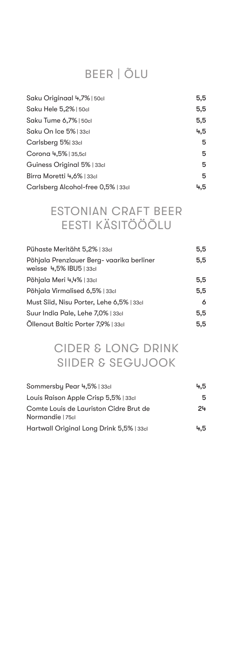## BEER | ÕLU

| Saku Originaal 4,7%   50cl         | 5,5 |
|------------------------------------|-----|
| Saku Hele 5,2%   50cl              | 5,5 |
| Saku Tume 6,7%   50cl              | 5.5 |
| Saku On Ice 5% 33cl                | 4.5 |
| Carlsberg 5% 33cl                  | 5   |
| Corona 4,5%   35,5cl               | 5   |
| Guiness Original 5%   33cl         | 5   |
| Birra Moretti 4,6%   33cl          | 5   |
| Carlsberg Alcohol-free 0,5%   33cl | 4.5 |

### ESTONIAN CRAFT BEER EESTI KÄSITÖÖÕLU

| Pühaste Meritäht 5,2%   33cl                                         | 5.5 |
|----------------------------------------------------------------------|-----|
| Põhjala Prenzlauer Berg- vaarika berliner<br>weisse 4,5% IBU5   33cl | 5.5 |
| Põhjala Meri 4,4%   33cl                                             | 5.5 |
| Põhjala Virmalised 6,5%   33cl                                       | 5.5 |
| Must Siid, Nisu Porter, Lehe 6,5%   33cl                             | 6   |
| Suur India Pale, Lehe 7,0%   33cl                                    | 5.5 |
| Öllenaut Baltic Porter 7,9%   33cl                                   | 5.5 |

### CIDER & LONG DRINK SIIDER & SEGUJOOK

| Sommersby Pear 4,5%   33cl                                 | 4.5 |
|------------------------------------------------------------|-----|
| Louis Raison Apple Crisp 5,5%   33cl                       | 5   |
| Comte Louis de Lauriston Cidre Brut de<br>Normandie   75cl | 24  |
| Hartwall Original Long Drink 5,5%   33cl                   | 4.5 |